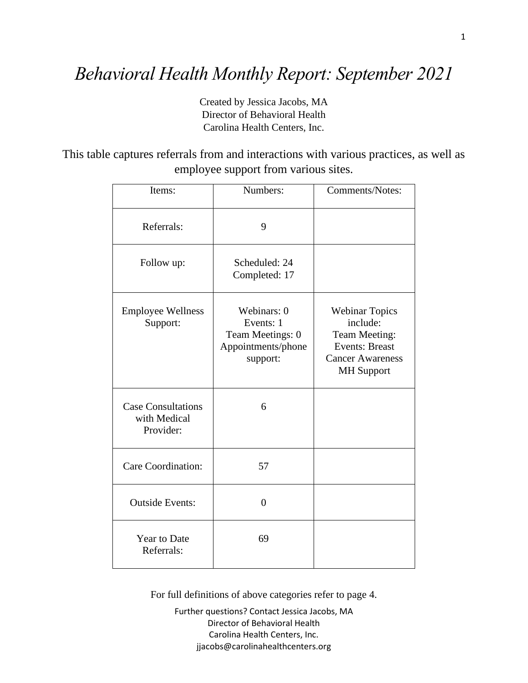## *Behavioral Health Monthly Report: September 2021*

Created by Jessica Jacobs, MA Director of Behavioral Health Carolina Health Centers, Inc.

This table captures referrals from and interactions with various practices, as well as employee support from various sites.

| Items:                                                 | Numbers:                                                                       | <b>Comments/Notes:</b>                                                                                                      |
|--------------------------------------------------------|--------------------------------------------------------------------------------|-----------------------------------------------------------------------------------------------------------------------------|
| Referrals:                                             | 9                                                                              |                                                                                                                             |
| Follow up:                                             | Scheduled: 24<br>Completed: 17                                                 |                                                                                                                             |
| <b>Employee Wellness</b><br>Support:                   | Webinars: 0<br>Events: 1<br>Team Meetings: 0<br>Appointments/phone<br>support: | <b>Webinar Topics</b><br>include:<br>Team Meeting:<br><b>Events: Breast</b><br><b>Cancer Awareness</b><br><b>MH</b> Support |
| <b>Case Consultations</b><br>with Medical<br>Provider: | 6                                                                              |                                                                                                                             |
| Care Coordination:                                     | 57                                                                             |                                                                                                                             |
| <b>Outside Events:</b>                                 | $\overline{0}$                                                                 |                                                                                                                             |
| <b>Year to Date</b><br>Referrals:                      | 69                                                                             |                                                                                                                             |

For full definitions of above categories refer to page 4.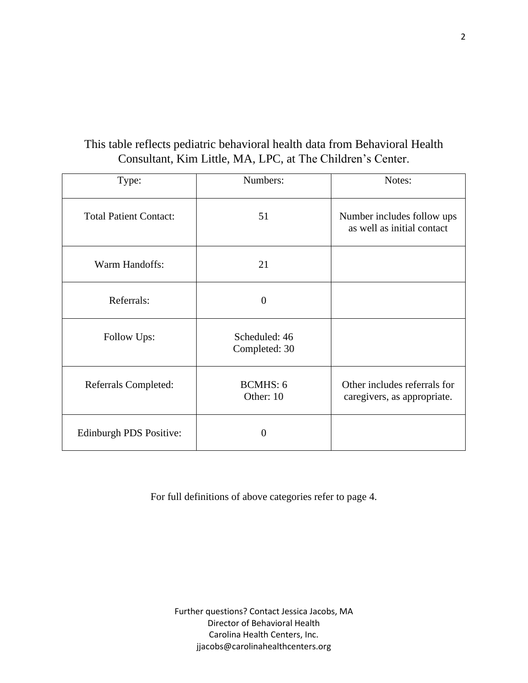## This table reflects pediatric behavioral health data from Behavioral Health Consultant, Kim Little, MA, LPC, at The Children's Center.

| Type:                         | Numbers:                       | Notes:                                                      |
|-------------------------------|--------------------------------|-------------------------------------------------------------|
| <b>Total Patient Contact:</b> | 51                             | Number includes follow ups<br>as well as initial contact    |
| Warm Handoffs:                | 21                             |                                                             |
| Referrals:                    | $\theta$                       |                                                             |
| Follow Ups:                   | Scheduled: 46<br>Completed: 30 |                                                             |
| Referrals Completed:          | <b>BCMHS: 6</b><br>Other: 10   | Other includes referrals for<br>caregivers, as appropriate. |
| Edinburgh PDS Positive:       | $\overline{0}$                 |                                                             |

For full definitions of above categories refer to page 4.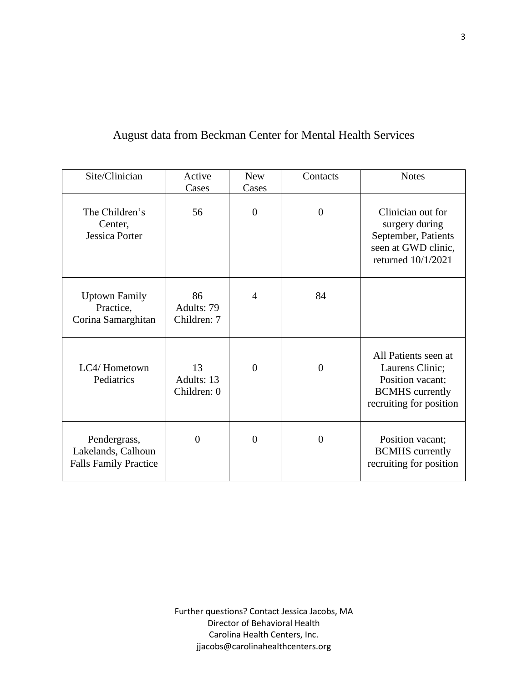## August data from Beckman Center for Mental Health Services

| Site/Clinician                                                     | Active<br>Cases                 | <b>New</b><br>Cases | Contacts       | <b>Notes</b>                                                                                                     |
|--------------------------------------------------------------------|---------------------------------|---------------------|----------------|------------------------------------------------------------------------------------------------------------------|
| The Children's<br>Center,<br><b>Jessica Porter</b>                 | 56                              | $\overline{0}$      | $\overline{0}$ | Clinician out for<br>surgery during<br>September, Patients<br>seen at GWD clinic,<br>returned 10/1/2021          |
| <b>Uptown Family</b><br>Practice,<br>Corina Samarghitan            | 86<br>Adults: 79<br>Children: 7 | $\overline{4}$      | 84             |                                                                                                                  |
| LC4/Hometown<br>Pediatrics                                         | 13<br>Adults: 13<br>Children: 0 | $\overline{0}$      | $\overline{0}$ | All Patients seen at<br>Laurens Clinic;<br>Position vacant;<br><b>BCMHS</b> currently<br>recruiting for position |
| Pendergrass,<br>Lakelands, Calhoun<br><b>Falls Family Practice</b> | $\Omega$                        | $\Omega$            | $\theta$       | Position vacant;<br><b>BCMHS</b> currently<br>recruiting for position                                            |